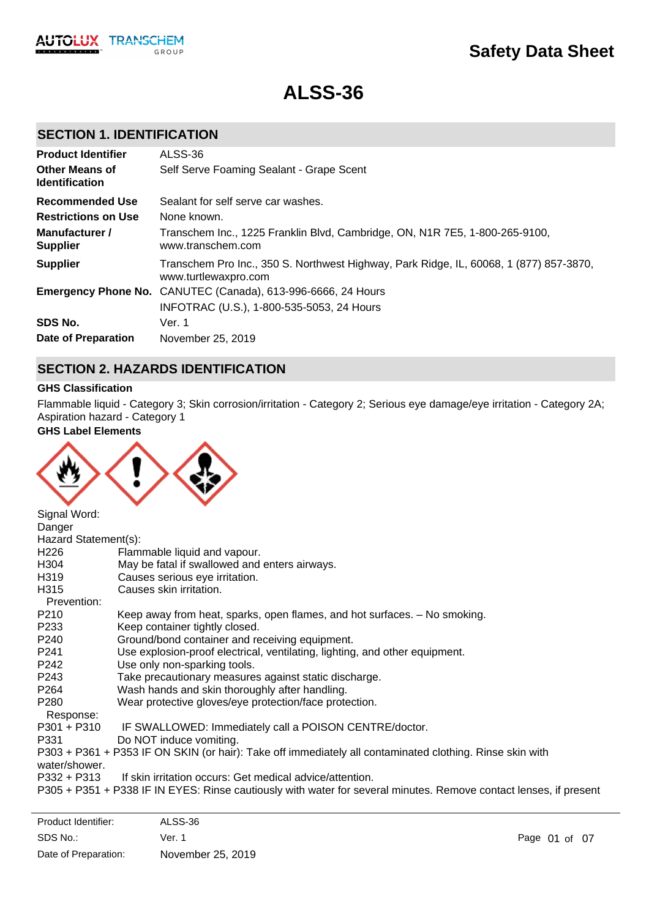

# **ALSS-36**

# **SECTION 1. IDENTIFICATION**

| <b>Product Identifier</b>                      | ALSS-36                                                                                                        |
|------------------------------------------------|----------------------------------------------------------------------------------------------------------------|
| <b>Other Means of</b><br><b>Identification</b> | Self Serve Foaming Sealant - Grape Scent                                                                       |
| <b>Recommended Use</b>                         | Sealant for self serve car washes.                                                                             |
| <b>Restrictions on Use</b>                     | None known.                                                                                                    |
| Manufacturer /<br><b>Supplier</b>              | Transchem Inc., 1225 Franklin Blvd, Cambridge, ON, N1R 7E5, 1-800-265-9100,<br>www.transchem.com               |
| <b>Supplier</b>                                | Transchem Pro Inc., 350 S. Northwest Highway, Park Ridge, IL, 60068, 1 (877) 857-3870,<br>www.turtlewaxpro.com |
|                                                | <b>Emergency Phone No.</b> CANUTEC (Canada), 613-996-6666, 24 Hours                                            |
|                                                | INFOTRAC (U.S.), 1-800-535-5053, 24 Hours                                                                      |
| SDS No.                                        | Ver. 1                                                                                                         |
| <b>Date of Preparation</b>                     | November 25, 2019                                                                                              |

### **SECTION 2. HAZARDS IDENTIFICATION**

### **GHS Classification**

Flammable liquid - Category 3; Skin corrosion/irritation - Category 2; Serious eye damage/eye irritation - Category 2A; Aspiration hazard - Category 1

**GHS Label Elements**



| Signal Word:         |                                                                                                                   |
|----------------------|-------------------------------------------------------------------------------------------------------------------|
| Danger               |                                                                                                                   |
| Hazard Statement(s): |                                                                                                                   |
| H <sub>226</sub>     | Flammable liquid and vapour.                                                                                      |
| H304                 | May be fatal if swallowed and enters airways.                                                                     |
| H319                 | Causes serious eye irritation.                                                                                    |
| H315                 | Causes skin irritation.                                                                                           |
| Prevention:          |                                                                                                                   |
| P210                 | Keep away from heat, sparks, open flames, and hot surfaces. - No smoking.                                         |
| P233                 | Keep container tightly closed.                                                                                    |
| P240                 | Ground/bond container and receiving equipment.                                                                    |
| P241                 | Use explosion-proof electrical, ventilating, lighting, and other equipment.                                       |
| P242                 | Use only non-sparking tools.                                                                                      |
| P243                 | Take precautionary measures against static discharge.                                                             |
| P264                 | Wash hands and skin thoroughly after handling.                                                                    |
| P280                 | Wear protective gloves/eye protection/face protection.                                                            |
| Response:            |                                                                                                                   |
| $P301 + P310$        | IF SWALLOWED: Immediately call a POISON CENTRE/doctor.                                                            |
| P331                 | Do NOT induce vomiting.                                                                                           |
|                      | P303 + P361 + P353 IF ON SKIN (or hair): Take off immediately all contaminated clothing. Rinse skin with          |
| water/shower.        |                                                                                                                   |
| P332 + P313          | If skin irritation occurs: Get medical advice/attention.                                                          |
|                      | P305 + P351 + P338 IF IN EYES: Rinse cautiously with water for several minutes. Remove contact lenses, if present |
|                      |                                                                                                                   |
|                      |                                                                                                                   |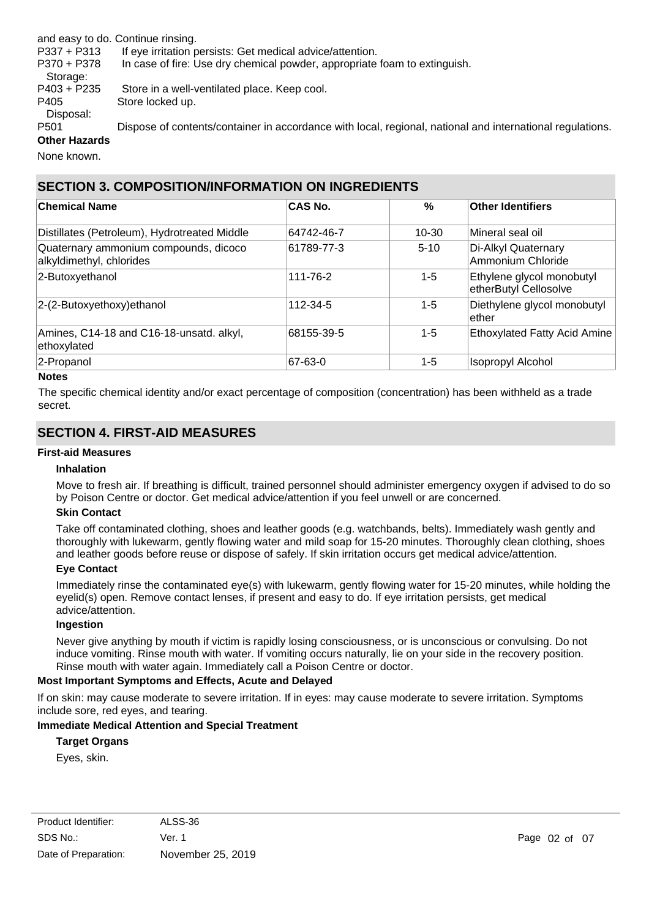and easy to do. Continue rinsing.

P337 + P313 If eye irritation persists: Get medical advice/attention.

P370 + P378 In case of fire: Use dry chemical powder, appropriate foam to extinguish.

Storage: P403 + P235 Store in a well-ventilated place. Keep cool. P405 Store locked up.

Disposal:

P501 Dispose of contents/container in accordance with local, regional, national and international regulations. **Other Hazards**

None known.

# **SECTION 3. COMPOSITION/INFORMATION ON INGREDIENTS**

| <b>Chemical Name</b>                                              | <b>CAS No.</b> | $\%$      | Other Identifiers                                  |
|-------------------------------------------------------------------|----------------|-----------|----------------------------------------------------|
| Distillates (Petroleum), Hydrotreated Middle                      | 64742-46-7     | $10 - 30$ | Mineral seal oil                                   |
| Quaternary ammonium compounds, dicoco<br>alkyldimethyl, chlorides | 61789-77-3     | $5-10$    | Di-Alkyl Quaternary<br>Ammonium Chloride           |
| 2-Butoxyethanol                                                   | 111-76-2       | $1 - 5$   | Ethylene glycol monobutyl<br>etherButyl Cellosolve |
| 2-(2-Butoxyethoxy) ethanol                                        | 112-34-5       | $1 - 5$   | Diethylene glycol monobutyl<br>lether              |
| Amines, C14-18 and C16-18-unsatd. alkyl,<br>ethoxylated           | 68155-39-5     | $1 - 5$   | <b>Ethoxylated Fatty Acid Amine</b>                |
| 2-Propanol                                                        | 67-63-0        | $1 - 5$   | <b>Isopropyl Alcohol</b>                           |

### **Notes**

The specific chemical identity and/or exact percentage of composition (concentration) has been withheld as a trade secret.

# **SECTION 4. FIRST-AID MEASURES**

### **First-aid Measures**

#### **Inhalation**

Move to fresh air. If breathing is difficult, trained personnel should administer emergency oxygen if advised to do so by Poison Centre or doctor. Get medical advice/attention if you feel unwell or are concerned.

#### **Skin Contact**

Take off contaminated clothing, shoes and leather goods (e.g. watchbands, belts). Immediately wash gently and thoroughly with lukewarm, gently flowing water and mild soap for 15-20 minutes. Thoroughly clean clothing, shoes and leather goods before reuse or dispose of safely. If skin irritation occurs get medical advice/attention.

#### **Eye Contact**

Immediately rinse the contaminated eye(s) with lukewarm, gently flowing water for 15-20 minutes, while holding the eyelid(s) open. Remove contact lenses, if present and easy to do. If eye irritation persists, get medical advice/attention.

### **Ingestion**

Never give anything by mouth if victim is rapidly losing consciousness, or is unconscious or convulsing. Do not induce vomiting. Rinse mouth with water. If vomiting occurs naturally, lie on your side in the recovery position. Rinse mouth with water again. Immediately call a Poison Centre or doctor.

### **Most Important Symptoms and Effects, Acute and Delayed**

If on skin: may cause moderate to severe irritation. If in eyes: may cause moderate to severe irritation. Symptoms include sore, red eyes, and tearing.

### **Immediate Medical Attention and Special Treatment**

### **Target Organs**

Eyes, skin.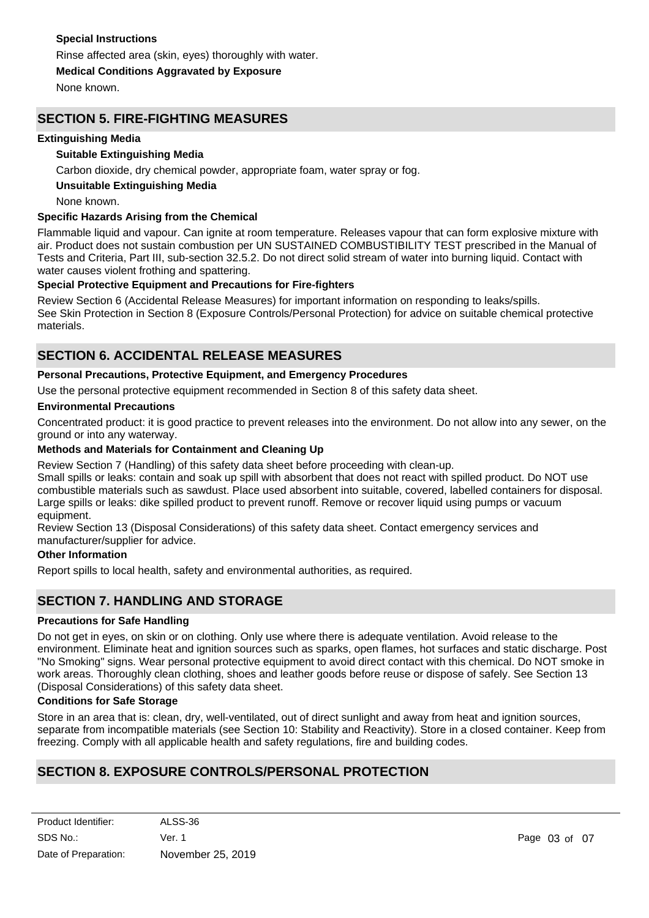### **Special Instructions**

Rinse affected area (skin, eyes) thoroughly with water.

**Medical Conditions Aggravated by Exposure**

None known.

### **SECTION 5. FIRE-FIGHTING MEASURES**

### **Extinguishing Media**

### **Suitable Extinguishing Media**

Carbon dioxide, dry chemical powder, appropriate foam, water spray or fog.

### **Unsuitable Extinguishing Media**

None known.

### **Specific Hazards Arising from the Chemical**

Flammable liquid and vapour. Can ignite at room temperature. Releases vapour that can form explosive mixture with air. Product does not sustain combustion per UN SUSTAINED COMBUSTIBILITY TEST prescribed in the Manual of Tests and Criteria, Part III, sub-section 32.5.2. Do not direct solid stream of water into burning liquid. Contact with water causes violent frothing and spattering.

### **Special Protective Equipment and Precautions for Fire-fighters**

Review Section 6 (Accidental Release Measures) for important information on responding to leaks/spills. See Skin Protection in Section 8 (Exposure Controls/Personal Protection) for advice on suitable chemical protective materials.

### **SECTION 6. ACCIDENTAL RELEASE MEASURES**

### **Personal Precautions, Protective Equipment, and Emergency Procedures**

Use the personal protective equipment recommended in Section 8 of this safety data sheet.

### **Environmental Precautions**

Concentrated product: it is good practice to prevent releases into the environment. Do not allow into any sewer, on the ground or into any waterway.

### **Methods and Materials for Containment and Cleaning Up**

Review Section 7 (Handling) of this safety data sheet before proceeding with clean-up.

Small spills or leaks: contain and soak up spill with absorbent that does not react with spilled product. Do NOT use combustible materials such as sawdust. Place used absorbent into suitable, covered, labelled containers for disposal. Large spills or leaks: dike spilled product to prevent runoff. Remove or recover liquid using pumps or vacuum equipment.

Review Section 13 (Disposal Considerations) of this safety data sheet. Contact emergency services and manufacturer/supplier for advice.

### **Other Information**

Report spills to local health, safety and environmental authorities, as required.

### **SECTION 7. HANDLING AND STORAGE**

#### **Precautions for Safe Handling**

Do not get in eyes, on skin or on clothing. Only use where there is adequate ventilation. Avoid release to the environment. Eliminate heat and ignition sources such as sparks, open flames, hot surfaces and static discharge. Post "No Smoking" signs. Wear personal protective equipment to avoid direct contact with this chemical. Do NOT smoke in work areas. Thoroughly clean clothing, shoes and leather goods before reuse or dispose of safely. See Section 13 (Disposal Considerations) of this safety data sheet.

#### **Conditions for Safe Storage**

Store in an area that is: clean, dry, well-ventilated, out of direct sunlight and away from heat and ignition sources, separate from incompatible materials (see Section 10: Stability and Reactivity). Store in a closed container. Keep from freezing. Comply with all applicable health and safety regulations, fire and building codes.

# **SECTION 8. EXPOSURE CONTROLS/PERSONAL PROTECTION**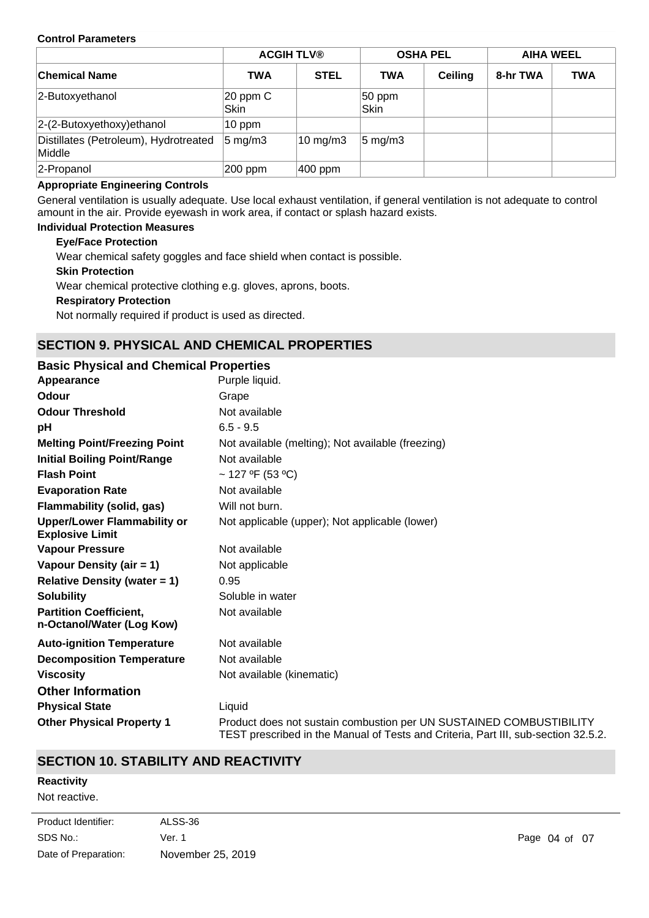### **Control Parameters**

|                                                 |                      | <b>ACGIH TLV®</b> |                     | <b>OSHA PEL</b> |          | <b>AIHA WEEL</b> |
|-------------------------------------------------|----------------------|-------------------|---------------------|-----------------|----------|------------------|
| ∣Chemical Name                                  | <b>TWA</b>           | <b>STEL</b>       | <b>TWA</b>          | <b>Ceiling</b>  | 8-hr TWA | <b>TWA</b>       |
| 2-Butoxyethanol                                 | $20$ ppm $C$<br>Skin |                   | 50 ppm<br>Skin      |                 |          |                  |
| $ 2-(2-Butoxyethoxy)$ ethanol                   | $10$ ppm             |                   |                     |                 |          |                  |
| Distillates (Petroleum), Hydrotreated<br>Middle | $5 \text{ mg/m}$ 3   | $10 \text{ mg/m}$ | $ 5 \text{ mg/m}$ 3 |                 |          |                  |
| 2-Propanol                                      | 200 ppm              | $ 400$ ppm        |                     |                 |          |                  |

### **Appropriate Engineering Controls**

General ventilation is usually adequate. Use local exhaust ventilation, if general ventilation is not adequate to control amount in the air. Provide eyewash in work area, if contact or splash hazard exists.

### **Individual Protection Measures**

### **Eye/Face Protection**

Wear chemical safety goggles and face shield when contact is possible.

#### **Skin Protection**

Wear chemical protective clothing e.g. gloves, aprons, boots.

#### **Respiratory Protection**

Not normally required if product is used as directed.

# **SECTION 9. PHYSICAL AND CHEMICAL PROPERTIES**

### **pH** 6.5 - 9.5 **Appearance** Purple liquid. **Partition Coefficient, n-Octanol/Water (Log Kow)** Not available **Odour** Grape **Vapour Pressure** Not available **Odour Threshold** Not available **Vapour Density (air = 1)** Not applicable **Initial Boiling Point/Range Mot available Evaporation Rate** Not available **Flash Point** ~ 127 ºF (53 ºC) **Melting Point/Freezing Point** Not available (melting); Not available (freezing) **Relative Density (water = 1)** 0.95 **Upper/Lower Flammability or Explosive Limit** Not applicable (upper); Not applicable (lower) **Solubility** Soluble in water **Auto-ignition Temperature** Not available **Decomposition Temperature** Not available **Viscosity Viscosity Not available (kinematic) Other Physical Property 1** Product does not sustain combustion per UN SUSTAINED COMBUSTIBILITY TEST prescribed in the Manual of Tests and Criteria, Part III, sub-section 32.5.2. **Basic Physical and Chemical Properties Physical State** Liquid **Other Information Flammability (solid, gas)** Will not burn.

# **SECTION 10. STABILITY AND REACTIVITY**

### **Reactivity**

Not reactive.

| Product Identifier:  | ALSS-36           |
|----------------------|-------------------|
| SDS No.:             | Ver. 1            |
| Date of Preparation: | November 25, 2019 |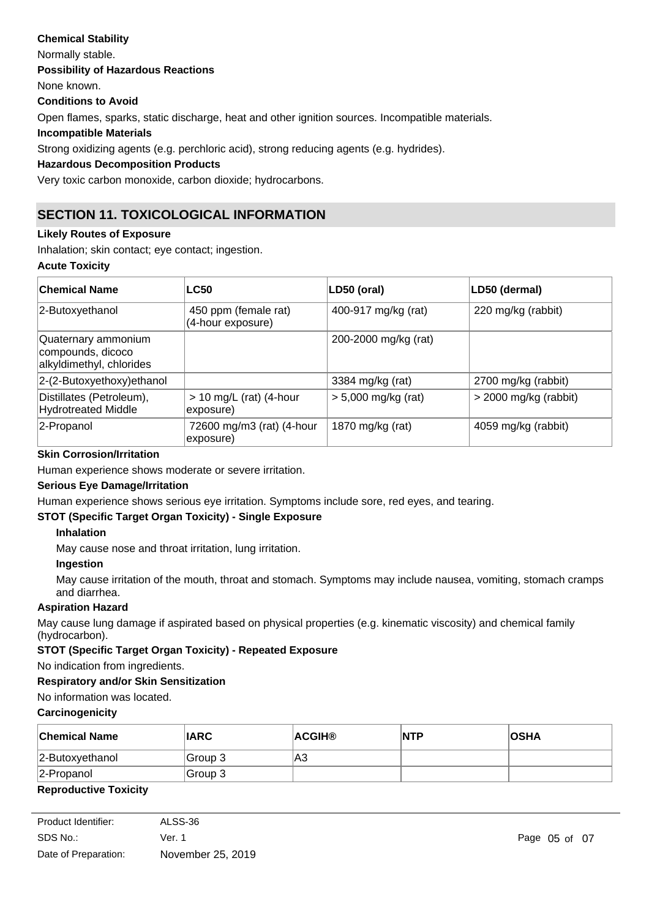# **Chemical Stability** Normally stable. **Conditions to Avoid** Open flames, sparks, static discharge, heat and other ignition sources. Incompatible materials. **Incompatible Materials** Strong oxidizing agents (e.g. perchloric acid), strong reducing agents (e.g. hydrides). **Hazardous Decomposition Products Possibility of Hazardous Reactions** None known.

Very toxic carbon monoxide, carbon dioxide; hydrocarbons.

# **SECTION 11. TOXICOLOGICAL INFORMATION**

### **Likely Routes of Exposure**

Inhalation; skin contact; eye contact; ingestion.

### **Acute Toxicity**

| <b>Chemical Name</b>                                                 | <b>LC50</b>                               | LD50 (oral)           | LD50 (dermal)           |
|----------------------------------------------------------------------|-------------------------------------------|-----------------------|-------------------------|
| 2-Butoxyethanol                                                      | 450 ppm (female rat)<br>(4-hour exposure) | 400-917 mg/kg (rat)   | 220 mg/kg (rabbit)      |
| Quaternary ammonium<br>compounds, dicoco<br>alkyldimethyl, chlorides |                                           | 200-2000 mg/kg (rat)  |                         |
| 2-(2-Butoxyethoxy)ethanol                                            |                                           | 3384 mg/kg (rat)      | 2700 mg/kg (rabbit)     |
| Distillates (Petroleum),<br><b>Hydrotreated Middle</b>               | $> 10$ mg/L (rat) (4-hour<br>exposure)    | $> 5,000$ mg/kg (rat) | $>$ 2000 mg/kg (rabbit) |
| 2-Propanol                                                           | 72600 mg/m3 (rat) (4-hour<br>exposure)    | 1870 mg/kg (rat)      | 4059 mg/kg (rabbit)     |

### **Skin Corrosion/Irritation**

Human experience shows moderate or severe irritation.

### **Serious Eye Damage/Irritation**

Human experience shows serious eye irritation. Symptoms include sore, red eyes, and tearing.

### **STOT (Specific Target Organ Toxicity) - Single Exposure**

### **Inhalation**

May cause nose and throat irritation, lung irritation.

### **Ingestion**

May cause irritation of the mouth, throat and stomach. Symptoms may include nausea, vomiting, stomach cramps and diarrhea.

### **Aspiration Hazard**

May cause lung damage if aspirated based on physical properties (e.g. kinematic viscosity) and chemical family (hydrocarbon).

### **STOT (Specific Target Organ Toxicity) - Repeated Exposure**

No indication from ingredients.

### **Respiratory and/or Skin Sensitization**

No information was located.

### **Carcinogenicity**

| <b>Chemical Name</b> | <b>IARC</b> | <b>ACGIH®</b> | <b>INTP</b> | <b>OSHA</b> |
|----------------------|-------------|---------------|-------------|-------------|
| 2-Butoxyethanol      | Group 3     | lA3           |             |             |
| $ 2$ -Propanol       | Group 3     |               |             |             |
|                      |             |               |             |             |

### **Reproductive Toxicity**

| Product Identifier:  | ALSS-36           |
|----------------------|-------------------|
| SDS No.:             | Ver. 1            |
| Date of Preparation: | November 25, 2019 |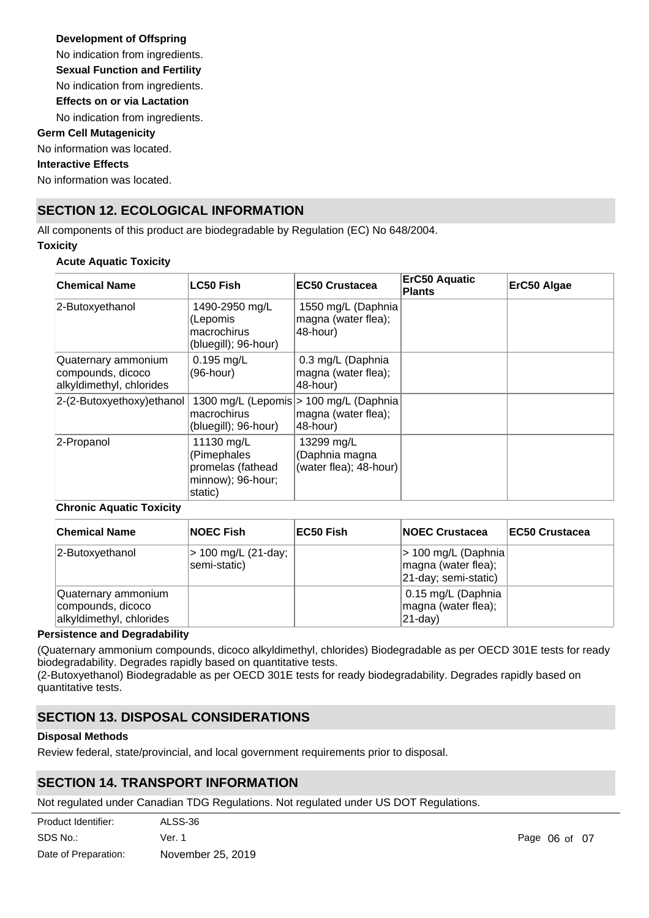### **Development of Offspring**

No indication from ingredients.

**Sexual Function and Fertility**

No indication from ingredients.

**Effects on or via Lactation**

No indication from ingredients.

### **Germ Cell Mutagenicity**

No information was located.

### **Interactive Effects**

No information was located.

# **SECTION 12. ECOLOGICAL INFORMATION**

All components of this product are biodegradable by Regulation (EC) No 648/2004.

### **Toxicity**

### **Acute Aquatic Toxicity**

| <b>Chemical Name</b>                                                 | <b>LC50 Fish</b>                                                               | <b>EC50 Crustacea</b>                                                      | ErC50 Aquatic<br><b>Plants</b> | ErC50 Algae |
|----------------------------------------------------------------------|--------------------------------------------------------------------------------|----------------------------------------------------------------------------|--------------------------------|-------------|
| 2-Butoxyethanol                                                      | 1490-2950 mg/L<br>(Lepomis<br>macrochirus<br>(bluegill); 96-hour)              | 1550 mg/L (Daphnia<br>magna (water flea);<br>48-hour)                      |                                |             |
| Quaternary ammonium<br>compounds, dicoco<br>alkyldimethyl, chlorides | $0.195$ mg/L<br>(96-hour)                                                      | 0.3 mg/L (Daphnia<br>magna (water flea);<br>48-hour)                       |                                |             |
| 2-(2-Butoxyethoxy)ethanol                                            | macrochirus<br>(bluegill); 96-hour)                                            | 1300 mg/L (Lepomis > 100 mg/L (Daphnia)<br>magna (water flea);<br>48-hour) |                                |             |
| 2-Propanol                                                           | 11130 mg/L<br>(Pimephales<br>promelas (fathead<br>minnow); 96-hour;<br>static) | 13299 mg/L<br>(Daphnia magna<br>(water flea); 48-hour)                     |                                |             |

### **Chronic Aquatic Toxicity**

| <b>Chemical Name</b>                                                 | <b>NOEC Fish</b>                    | EC50 Fish | <b>NOEC Crustacea</b>                                               | <b>IEC50 Crustacea</b> |
|----------------------------------------------------------------------|-------------------------------------|-----------|---------------------------------------------------------------------|------------------------|
| 2-Butoxyethanol                                                      | > 100 mg/L (21-day;<br>semi-static) |           | > 100 mg/L (Daphnia)<br>magna (water flea);<br>21-day; semi-static) |                        |
| Quaternary ammonium<br>compounds, dicoco<br>alkyldimethyl, chlorides |                                     |           | 0.15 mg/L (Daphnia<br>magna (water flea);<br>$ 21-day\rangle$       |                        |

### **Persistence and Degradability**

(Quaternary ammonium compounds, dicoco alkyldimethyl, chlorides) Biodegradable as per OECD 301E tests for ready biodegradability. Degrades rapidly based on quantitative tests.

(2-Butoxyethanol) Biodegradable as per OECD 301E tests for ready biodegradability. Degrades rapidly based on quantitative tests.

# **SECTION 13. DISPOSAL CONSIDERATIONS**

### **Disposal Methods**

Review federal, state/provincial, and local government requirements prior to disposal.

# **SECTION 14. TRANSPORT INFORMATION**

Not regulated under Canadian TDG Regulations. Not regulated under US DOT Regulations.

| Product Identifier:  | ALSS-36           |
|----------------------|-------------------|
| SDS No.:             | Ver. 1            |
| Date of Preparation: | November 25, 2019 |